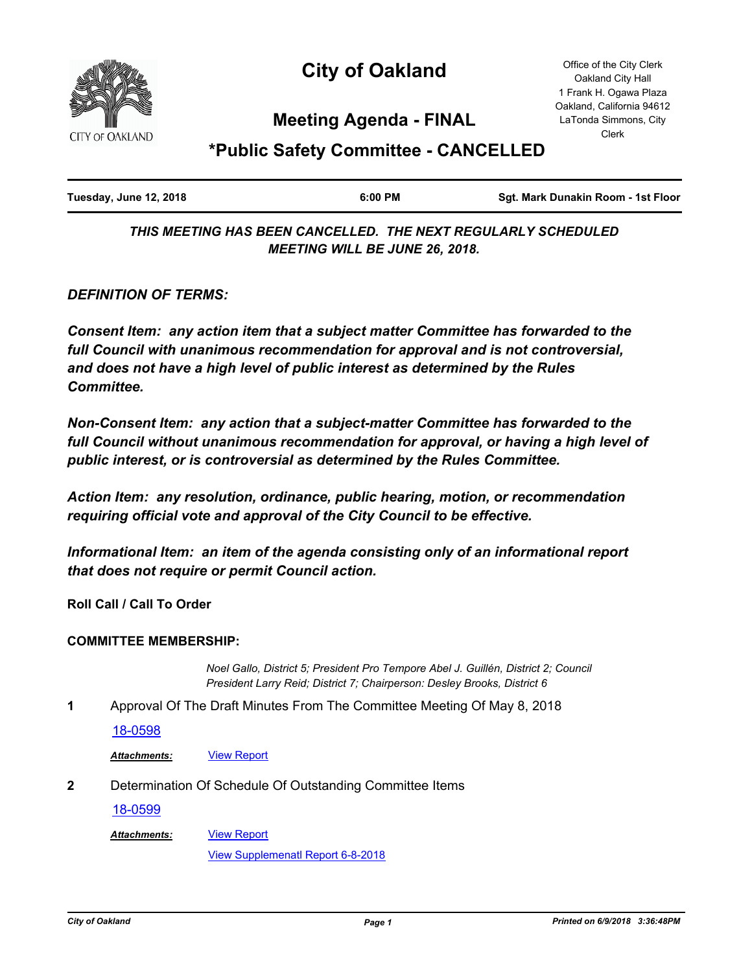

# **City of Oakland**

Office of the City Clerk Oakland City Hall 1 Frank H. Ogawa Plaza Oakland, California 94612 LaTonda Simmons, City Clerk

# **Meeting Agenda - FINAL**

# **\*Public Safety Committee - CANCELLED**

| Tuesday, June 12, 2018 | 6:00 PM | Sqt. Mark Dunakin Room - 1st Floor |
|------------------------|---------|------------------------------------|
|                        |         |                                    |

*THIS MEETING HAS BEEN CANCELLED. THE NEXT REGULARLY SCHEDULED MEETING WILL BE JUNE 26, 2018.*

*DEFINITION OF TERMS:*

*Consent Item: any action item that a subject matter Committee has forwarded to the full Council with unanimous recommendation for approval and is not controversial, and does not have a high level of public interest as determined by the Rules Committee.*

*Non-Consent Item: any action that a subject-matter Committee has forwarded to the*  full Council without unanimous recommendation for approval, or having a high level of *public interest, or is controversial as determined by the Rules Committee.*

*Action Item: any resolution, ordinance, public hearing, motion, or recommendation requiring official vote and approval of the City Council to be effective.*

*Informational Item: an item of the agenda consisting only of an informational report that does not require or permit Council action.*

**Roll Call / Call To Order**

#### **COMMITTEE MEMBERSHIP:**

*Noel Gallo, District 5; President Pro Tempore Abel J. Guillén, District 2; Council President Larry Reid; District 7; Chairperson: Desley Brooks, District 6*

**1** Approval Of The Draft Minutes From The Committee Meeting Of May 8, 2018

[18-0598](http://oakland.legistar.com/gateway.aspx?m=l&id=/matter.aspx?key=29032)

*Attachments:* [View Report](http://oakland.legistar.com/gateway.aspx?M=F&ID=5097eee6-6028-4ce8-abee-321920231f54.pdf)

**2** Determination Of Schedule Of Outstanding Committee Items

[View Report](http://oakland.legistar.com/gateway.aspx?M=F&ID=8f6725b5-c066-4f95-a33b-46570be1f52e.pdf)

[18-0599](http://oakland.legistar.com/gateway.aspx?m=l&id=/matter.aspx?key=29033)

*Attachments:*

[View Supplemenatl Report 6-8-2018](http://oakland.legistar.com/gateway.aspx?M=F&ID=250cf06a-659b-4851-b64b-f51793026474.pdf)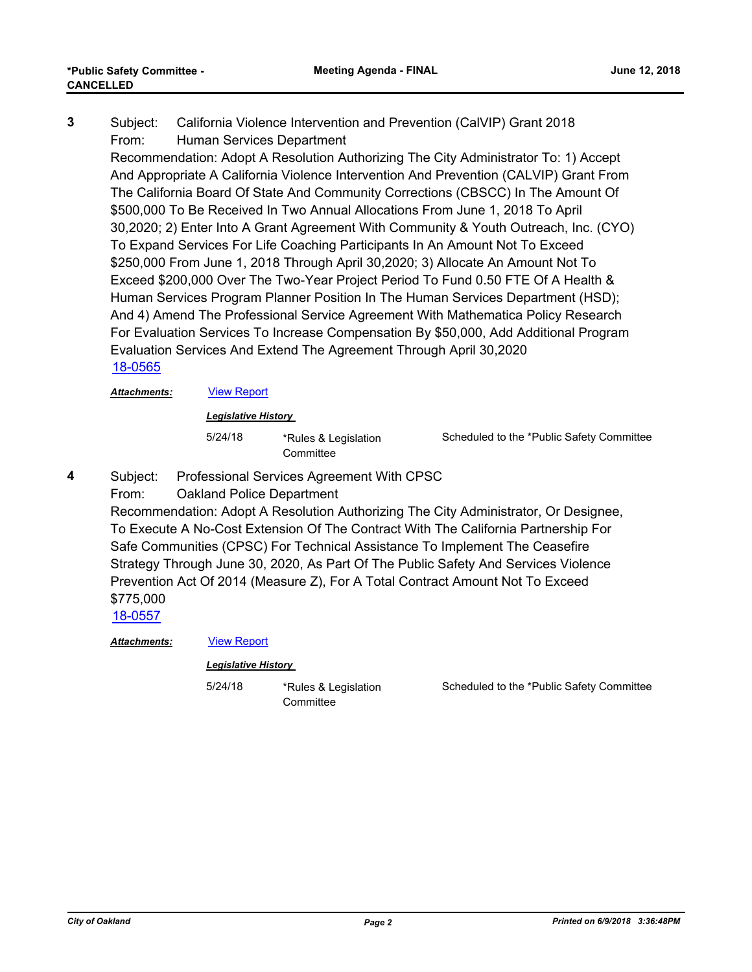Subject: California Violence Intervention and Prevention (CalVIP) Grant 2018 From: Human Services Department **3**

Recommendation: Adopt A Resolution Authorizing The City Administrator To: 1) Accept And Appropriate A California Violence Intervention And Prevention (CALVIP) Grant From The California Board Of State And Community Corrections (CBSCC) In The Amount Of \$500,000 To Be Received In Two Annual Allocations From June 1, 2018 To April 30,2020; 2) Enter Into A Grant Agreement With Community & Youth Outreach, Inc. (CYO) To Expand Services For Life Coaching Participants In An Amount Not To Exceed \$250,000 From June 1, 2018 Through April 30,2020; 3) Allocate An Amount Not To Exceed \$200,000 Over The Two-Year Project Period To Fund 0.50 FTE Of A Health & Human Services Program Planner Position In The Human Services Department (HSD); And 4) Amend The Professional Service Agreement With Mathematica Policy Research For Evaluation Services To Increase Compensation By \$50,000, Add Additional Program Evaluation Services And Extend The Agreement Through April 30,2020 [18-0565](http://oakland.legistar.com/gateway.aspx?m=l&id=/matter.aspx?key=29000)

*Attachments:* [View Report](http://oakland.legistar.com/gateway.aspx?M=F&ID=95247460-6133-4b92-89bd-1eae22d84610.pdf)

*Legislative History* 

5/24/18 \*Rules & Legislation **Committee** 

**Committee** 

Scheduled to the \*Public Safety Committee

Subject: Professional Services Agreement With CPSC **4**

From: Oakland Police Department

Recommendation: Adopt A Resolution Authorizing The City Administrator, Or Designee, To Execute A No-Cost Extension Of The Contract With The California Partnership For Safe Communities (CPSC) For Technical Assistance To Implement The Ceasefire Strategy Through June 30, 2020, As Part Of The Public Safety And Services Violence Prevention Act Of 2014 (Measure Z), For A Total Contract Amount Not To Exceed \$775,000

[18-0557](http://oakland.legistar.com/gateway.aspx?m=l&id=/matter.aspx?key=28992)

*Attachments:* [View Report](http://oakland.legistar.com/gateway.aspx?M=F&ID=2e0a981d-cb6a-402d-b73b-e36c183e76ea.pdf)

*Legislative History* 

5/24/18 \*Rules & Legislation

Scheduled to the \*Public Safety Committee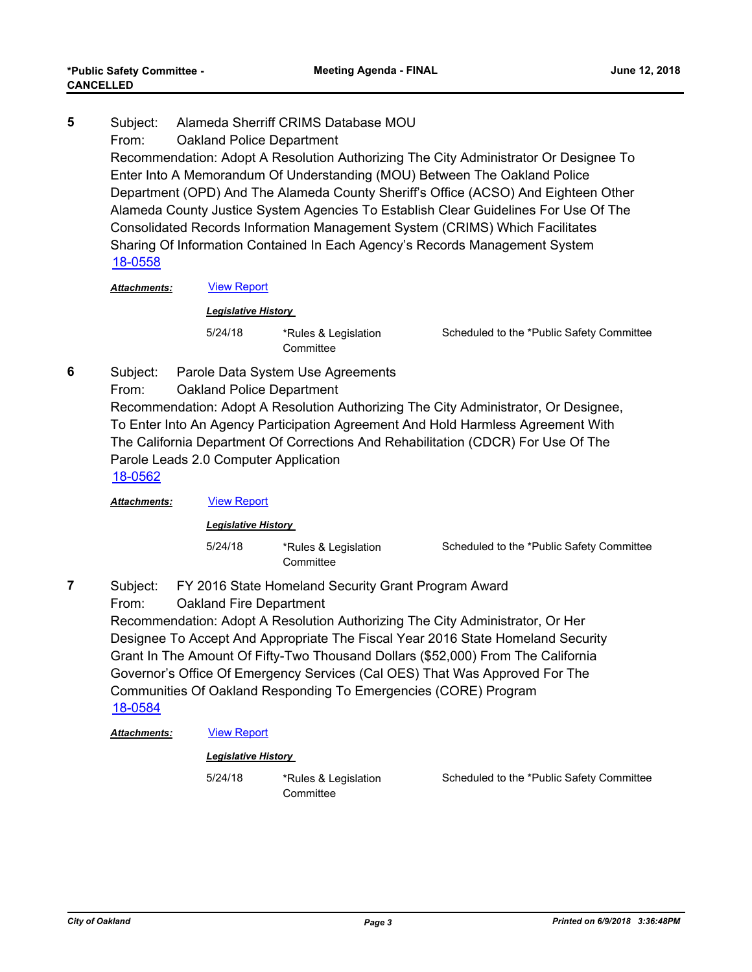Subject: Alameda Sherriff CRIMS Database MOU From: Oakland Police Department Recommendation: Adopt A Resolution Authorizing The City Administrator Or Designee To Enter Into A Memorandum Of Understanding (MOU) Between The Oakland Police Department (OPD) And The Alameda County Sheriff's Office (ACSO) And Eighteen Other Alameda County Justice System Agencies To Establish Clear Guidelines For Use Of The Consolidated Records Information Management System (CRIMS) Which Facilitates Sharing Of Information Contained In Each Agency's Records Management System **5** [18-0558](http://oakland.legistar.com/gateway.aspx?m=l&id=/matter.aspx?key=28993)

#### *Attachments:* [View Report](http://oakland.legistar.com/gateway.aspx?M=F&ID=88357d26-6d2d-4dc9-a321-bd67cb2c9bd4.pdf)

*Legislative History* 

5/24/18 \*Rules & Legislation **Committee** 

Scheduled to the \*Public Safety Committee

- Subject: Parole Data System Use Agreements **6**
	- From: Oakland Police Department

Recommendation: Adopt A Resolution Authorizing The City Administrator, Or Designee, To Enter Into An Agency Participation Agreement And Hold Harmless Agreement With The California Department Of Corrections And Rehabilitation (CDCR) For Use Of The Parole Leads 2.0 Computer Application

[18-0562](http://oakland.legistar.com/gateway.aspx?m=l&id=/matter.aspx?key=28997)

**7**

*Attachments:* [View Report](http://oakland.legistar.com/gateway.aspx?M=F&ID=7a928ee1-80ce-4830-bed7-90b0fb10b07c.pdf)

#### *Legislative History*

5/24/18 \*Rules & Legislation **Committee** 

Scheduled to the \*Public Safety Committee

Subject: FY 2016 State Homeland Security Grant Program Award

From: Oakland Fire Department

Recommendation: Adopt A Resolution Authorizing The City Administrator, Or Her Designee To Accept And Appropriate The Fiscal Year 2016 State Homeland Security Grant In The Amount Of Fifty-Two Thousand Dollars (\$52,000) From The California Governor's Office Of Emergency Services (Cal OES) That Was Approved For The Communities Of Oakland Responding To Emergencies (CORE) Program [18-0584](http://oakland.legistar.com/gateway.aspx?m=l&id=/matter.aspx?key=29019)

#### Attachments: **[View Report](http://oakland.legistar.com/gateway.aspx?M=F&ID=36c0ae30-16a7-4376-9112-d745dc2c4506.pdf)**

*Legislative History* 

5/24/18 \*Rules & Legislation **Committee** 

Scheduled to the \*Public Safety Committee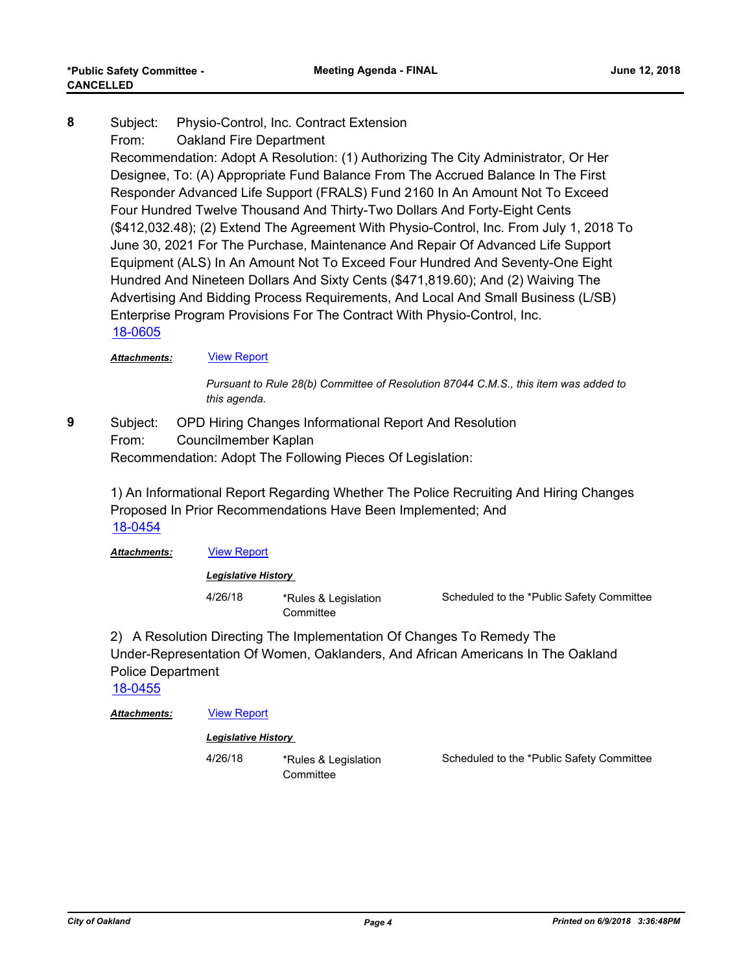Subject: Physio-Control, Inc. Contract Extension From: Oakland Fire Department Recommendation: Adopt A Resolution: (1) Authorizing The City Administrator, Or Her Designee, To: (A) Appropriate Fund Balance From The Accrued Balance In The First Responder Advanced Life Support (FRALS) Fund 2160 In An Amount Not To Exceed Four Hundred Twelve Thousand And Thirty-Two Dollars And Forty-Eight Cents (\$412,032.48); (2) Extend The Agreement With Physio-Control, Inc. From July 1, 2018 To June 30, 2021 For The Purchase, Maintenance And Repair Of Advanced Life Support Equipment (ALS) In An Amount Not To Exceed Four Hundred And Seventy-One Eight Hundred And Nineteen Dollars And Sixty Cents (\$471,819.60); And (2) Waiving The Advertising And Bidding Process Requirements, And Local And Small Business (L/SB) Enterprise Program Provisions For The Contract With Physio-Control, Inc. **8** [18-0605](http://oakland.legistar.com/gateway.aspx?m=l&id=/matter.aspx?key=29039)

#### Attachments: **[View Report](http://oakland.legistar.com/gateway.aspx?M=F&ID=3082853e-65f1-4c31-84b4-17943a523360.pdf)**

*Pursuant to Rule 28(b) Committee of Resolution 87044 C.M.S., this item was added to this agenda.*

Subject: OPD Hiring Changes Informational Report And Resolution From: Councilmember Kaplan Recommendation: Adopt The Following Pieces Of Legislation: **9**

1) An Informational Report Regarding Whether The Police Recruiting And Hiring Changes Proposed In Prior Recommendations Have Been Implemented; And [18-0454](http://oakland.legistar.com/gateway.aspx?m=l&id=/matter.aspx?key=28890)

Attachments: **[View Report](http://oakland.legistar.com/gateway.aspx?M=F&ID=8ffb179f-a999-48a5-95b6-494a070e0a33.pdf)** 

*Legislative History* 

4/26/18 \*Rules & Legislation **Committee** 

Scheduled to the \*Public Safety Committee

2) A Resolution Directing The Implementation Of Changes To Remedy The Under-Representation Of Women, Oaklanders, And African Americans In The Oakland Police Department

[18-0455](http://oakland.legistar.com/gateway.aspx?m=l&id=/matter.aspx?key=28891)

#### Attachments: **[View Report](http://oakland.legistar.com/gateway.aspx?M=F&ID=9a797dd5-be40-4575-b21f-a750e1fc4d34.pdf)**

#### *Legislative History*

4/26/18 \*Rules & Legislation **Committee** 

Scheduled to the \*Public Safety Committee